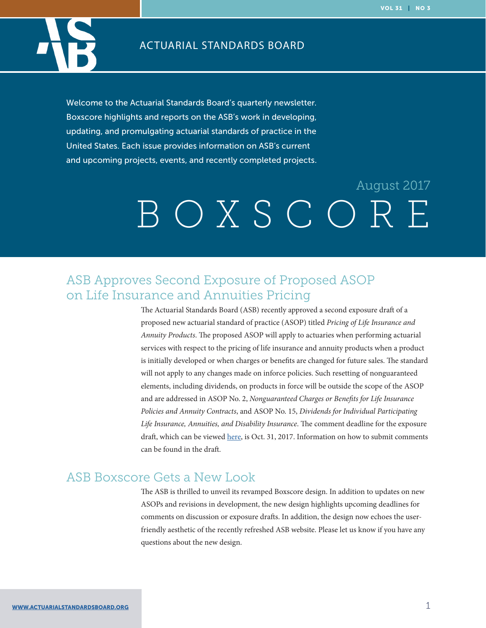

#### ACTUARIAL STANDARDS BOARD

Welcome to the Actuarial Standards Board's quarterly newsletter. Boxscore highlights and reports on the ASB's work in developing, updating, and promulgating actuarial standards of practice in the United States. Each issue provides information on ASB's current and upcoming projects, events, and recently completed projects.

# BOXSCORE August 2017

## ASB Approves Second Exposure of Proposed ASOP on Life Insurance and Annuities Pricing

The Actuarial Standards Board (ASB) recently approved a second exposure draft of a proposed new actuarial standard of practice (ASOP) titled *Pricing of Life Insurance and Annuity Products*. The proposed ASOP will apply to actuaries when performing actuarial services with respect to the pricing of life insurance and annuity products when a product is initially developed or when charges or benefits are changed for future sales. The standard will not apply to any changes made on inforce policies. Such resetting of nonguaranteed elements, including dividends, on products in force will be outside the scope of the ASOP and are addressed in ASOP No. 2, *Nonguaranteed Charges or Benefits for Life Insurance Policies and Annuity Contracts*, and ASOP No. 15, *Dividends for Individual Participating Life Insurance, Annuities, and Disability Insurance*. The comment deadline for the exposure draft, which can be viewed [here,](http://www.actuarialstandardsboard.org/asb-approves-second-exposure-proposed-asop-life-insurance-annuities-pricing/) is Oct. 31, 2017. Information on how to submit comments can be found in the draft.

### ASB Boxscore Gets a New Look

The ASB is thrilled to unveil its revamped Boxscore design. In addition to updates on new ASOPs and revisions in development, the new design highlights upcoming deadlines for comments on discussion or exposure drafts. In addition, the design now echoes the userfriendly aesthetic of the recently refreshed ASB website. Please let us know if you have any questions about the new design.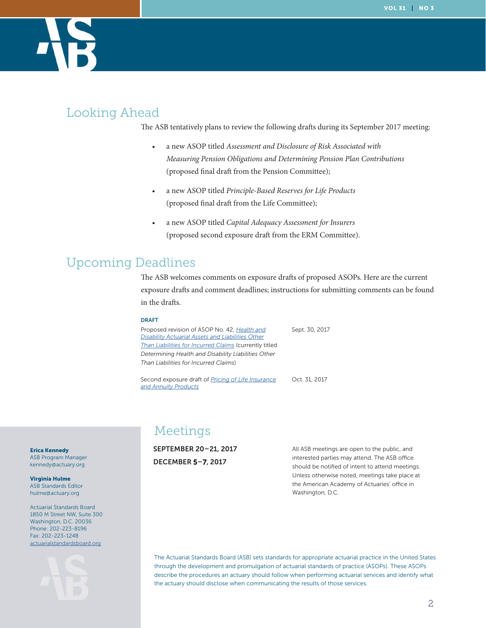

# Looking Ahead

The ASB tentatively plans to review the following drafts during its September 2017 meeting:

- a new ASOP titled *Assessment and Disclosure of Risk Associated with Measuring Pension Obligations and Determining Pension Plan Contributions* (proposed final draft from the Pension Committee);
- a new ASOP titled *Principle-Based Reserves for Life Products* (proposed final draft from the Life Committee);
- a new ASOP titled *Capital Adequacy Assessment for Insurers* (proposed second exposure draft from the ERM Committee).

# Upcoming Deadlines

The ASB welcomes comments on exposure drafts of proposed ASOPs. Here are the current exposure drafts and comment deadlines; instructions for submitting comments can be found in the drafts.

#### DRAFT

Proposed revision of ASOP No. 42, *[Health and](http://www.actuarialstandardsboard.org/asops/determining-health-disability-liabilities-liabilities-incurred-claims-2/)  [Disability Actuarial Assets and Liabilities Other](http://www.actuarialstandardsboard.org/asops/determining-health-disability-liabilities-liabilities-incurred-claims-2/)  [Than Liabilities for Incurred Claims](http://www.actuarialstandardsboard.org/asops/determining-health-disability-liabilities-liabilities-incurred-claims-2/)* (currently titled *Determining Health and Disability Liabilities Other Than Liabilities for Incurred Claims*) Sept. 30, 2017

Second exposure draft of *[Pricing of Life Insurance](http://www.actuarialstandardsboard.org/asops/pricing-life-insurance-annuity-products-2/)  [and Annuity Products](http://www.actuarialstandardsboard.org/asops/pricing-life-insurance-annuity-products-2/)*

Oct. 31, 2017

Meetings

SEPTEMBER 20–21, 2017 DECEMBER 5–7, 2017

All ASB meetings are open to the public, and interested parties may attend. The ASB office should be notified of intent to attend meetings. Unless otherwise noted, meetings take place at the American Academy of Actuaries' office in Washington, D.C.

The Actuarial Standards Board (ASB) sets standards for appropriate actuarial practice in the United States through the development and promulgation of actuarial standards of practice (ASOPs). These ASOPs describe the procedures an actuary should follow when performing actuarial services and identify what the actuary should disclose when communicating the results of those services.

Erica Kennedy ASB Program Manager kennedy@actuary.org

Virginia Hulme ASB Standards Editor hulme@actuary.org

Actuarial Standards Board 1850 M Street NW, Suite 300 Washington, D.C. 20036 Phone: 202-223-8196 Fax: 202-223-1248 [actuarialstandardsboard.org](http://actuarialstandardsboard.org)